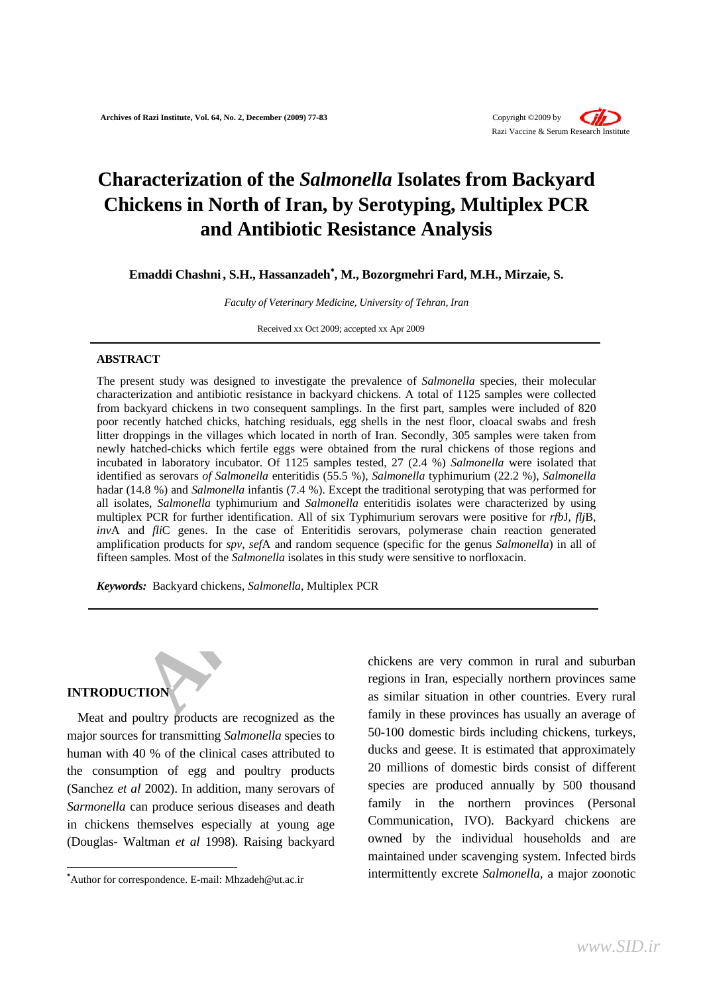

# **Characterization of the** *Salmonella* **Isolates from Backyard Chickens in North of Iran, by Serotyping, Multiplex PCR and Antibiotic Resistance Analysis**

**Emaddi Chashni , S.H., Hassanzadeh**<sup>∗</sup> **, M., Bozorgmehri Fard, M.H., Mirzaie, S.** 

*Faculty of Veterinary Medicine, University of Tehran, Iran* 

Received xx Oct 2009; accepted xx Apr 2009

### **ABSTRACT**

*Faculty of Veterinary Medicine, University of Tehran, Iran*<br>**[A](#page-0-0)CT**<br>**ACT**<br>**ACT**<br>**ACT**<br>**ACT**<br>**ACT**<br>**ACT**<br>**ACT**<br>**ACT**<br>**ACT**<br>**ACT**<br>**ACT**<br>**ACT**<br>**ACT**<br>**ACT**<br>**ACT**<br>**ACT**<br>**ACT**<br>**ACT**<br>**ACT**<br>**ACT**<br>**ACT**<br>**ACT**<br>**ACT**<br>**ACT**<br>**ACT**<br>**ACT** The present study was designed to investigate the prevalence of *Salmonella* species, their molecular characterization and antibiotic resistance in backyard chickens. A total of 1125 samples were collected from backyard chickens in two consequent samplings. In the first part, samples were included of 820 poor recently hatched chicks, hatching residuals, egg shells in the nest floor, cloacal swabs and fresh litter droppings in the villages which located in north of Iran. Secondly, 305 samples were taken from newly hatched-chicks which fertile eggs were obtained from the rural chickens of those regions and incubated in laboratory incubator. Of 1125 samples tested, 27 (2.4 %) *Salmonella* were isolated that identified as serovars *of Salmonella* enteritidis (55.5 %), *Salmonella* typhimurium (22.2 %), *Salmonella* hadar (14.8 %) and *Salmonella* infantis (7.4 %). Except the traditional serotyping that was performed for all isolates, *Salmonella* typhimurium and *Salmonella* enteritidis isolates were characterized by using multiplex PCR for further identification. All of six Typhimurium serovars were positive for *rfb*J, *flj*B, *inv*A and *fli*C genes. In the case of Enteritidis serovars, polymerase chain reaction generated amplification products for *spv*, *sef*A and random sequence (specific for the genus *Salmonella*) in all of fifteen samples. Most of the *Salmonella* isolates in this study were sensitive to norfloxacin.

*Keywords:*Backyard chickens, *Salmonella*, Multiplex PCR

# **INTRODUCTION**

 $\overline{a}$ 

Meat and poultry products are recognized as the major sources for transmitting *Salmonella* species to human with 40 % of the clinical cases attributed to the consumption of egg and poultry products (Sanchez *et al* 2002). In addition, many serovars of *Sarmonella* can produce serious diseases and death in chickens themselves especially at young age (Douglas- Waltman *et al* 1998). Raising backyard

chickens are very common in rural and suburban regions in Iran, especially northern provinces same as similar situation in other countries. Every rural family in these provinces has usually an average of 50-100 domestic birds including chickens, turkeys, ducks and geese. It is estimated that approximately 20 millions of domestic birds consist of different species are produced annually by 500 thousand family in the northern provinces (Personal Communication, IVO). Backyard chickens are owned by the individual households and are maintained under scavenging system. Infected birds intermittently excrete *Salmonella*, a major zoonotic

<span id="page-0-0"></span>**<sup>\*</sup>** Author for correspondence. E-mail: Mhzadeh@ut.ac.ir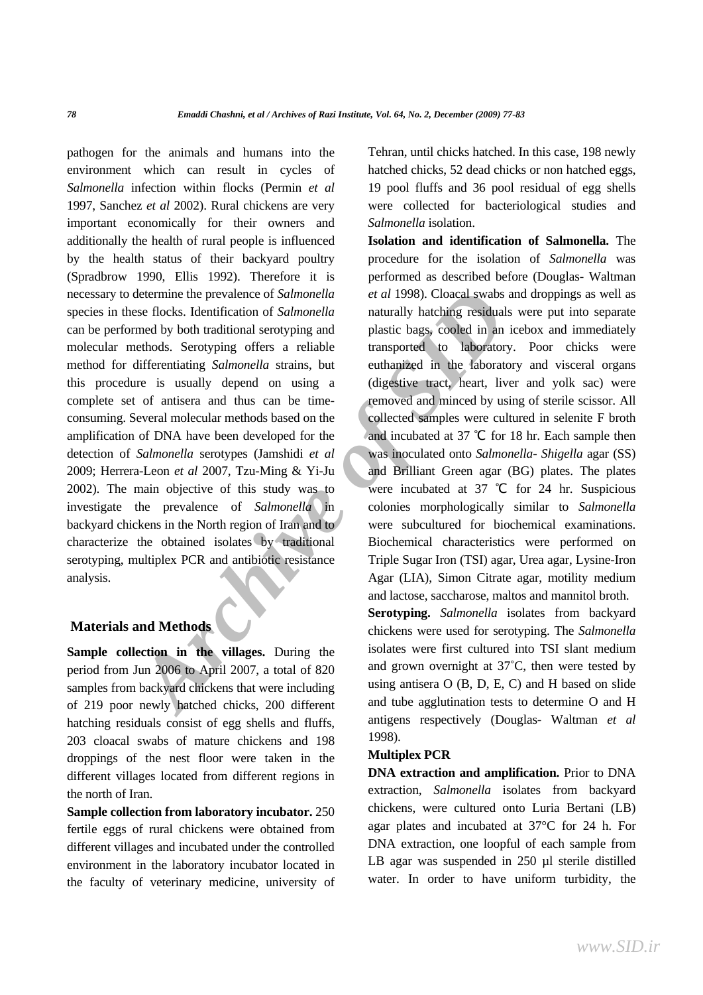determine the prevalence of *Salmonella* et al 1998). Cloacal swabs and<br>
sees flocks. Identification of *Salmonella* anturally hatching residuals we<br>
meethods. Serotyping offers a reliable<br>
transported to laboratory.<br>
diff pathogen for the animals and humans into the environment which can result in cycles of *Salmonella* infection within flocks (Permin *et al* 1997, Sanchez *et al* 2002). Rural chickens are very important economically for their owners and additionally the health of rural people is influenced by the health status of their backyard poultry (Spradbrow 1990, Ellis 1992). Therefore it is necessary to determine the prevalence of *Salmonella* species in these flocks. Identification of *Salmonella* can be performed by both traditional serotyping and molecular methods. Serotyping offers a reliable method for differentiating *Salmonella* strains, but this procedure is usually depend on using a complete set of antisera and thus can be timeconsuming. Several molecular methods based on the amplification of DNA have been developed for the detection of *Salmonella* serotypes (Jamshidi *et al* 2009; Herrera-Leon *et al* 2007, Tzu-Ming & Yi-Ju 2002). The main objective of this study was to investigate the prevalence of *Salmonella* in backyard chickens in the North region of Iran and to characterize the obtained isolates by traditional serotyping, multiplex PCR and antibiotic resistance analysis.

# **Materials and Methods**

**Sample collection in the villages.** During the period from Jun 2006 to April 2007, a total of 820 samples from backyard chickens that were including of 219 poor newly hatched chicks, 200 different hatching residuals consist of egg shells and fluffs, 203 cloacal swabs of mature chickens and 198 droppings of the nest floor were taken in the different villages located from different regions in the north of Iran.

**Sample collection from laboratory incubator.** 250 fertile eggs of rural chickens were obtained from different villages and incubated under the controlled environment in the laboratory incubator located in the faculty of veterinary medicine, university of Tehran, until chicks hatched. In this case, 198 newly hatched chicks, 52 dead chicks or non hatched eggs, 19 pool fluffs and 36 pool residual of egg shells were collected for bacteriological studies and *Salmonella* isolation.

**Isolation and identification of Salmonella.** The procedure for the isolation of *Salmonella* was performed as described before (Douglas- Waltman *et al* 1998). Cloacal swabs and droppings as well as naturally hatching residuals were put into separate plastic bags, cooled in an icebox and immediately transported to laboratory. Poor chicks were euthanized in the laboratory and visceral organs (digestive tract, heart, liver and yolk sac) were removed and minced by using of sterile scissor. All collected samples were cultured in selenite F broth and incubated at 37 ℃ for 18 hr. Each sample then was inoculated onto *Salmonella*- *Shigella* agar (SS) and Brilliant Green agar (BG) plates. The plates were incubated at 37 ℃ for 24 hr. Suspicious colonies morphologically similar to *Salmonella* were subcultured for biochemical examinations. Biochemical characteristics were performed on Triple Sugar Iron (TSI) agar, Urea agar, Lysine-Iron Agar (LIA), Simon Citrate agar, motility medium and lactose, saccharose, maltos and mannitol broth.

**Serotyping.** *Salmonella* isolates from backyard chickens were used for serotyping. The *Salmonella* isolates were first cultured into TSI slant medium and grown overnight at 37˚C, then were tested by using antisera O (B, D, E, C) and H based on slide and tube agglutination tests to determine O and H antigens respectively (Douglas- Waltman *et al* 1998).

# **Multiplex PCR**

**DNA extraction and amplification.** Prior to DNA extraction*, Salmonella* isolates from backyard chickens, were cultured onto Luria Bertani (LB) agar plates and incubated at 37°C for 24 h. For DNA extraction, one loopful of each sample from LB agar was suspended in 250 µl sterile distilled water. In order to have uniform turbidity, the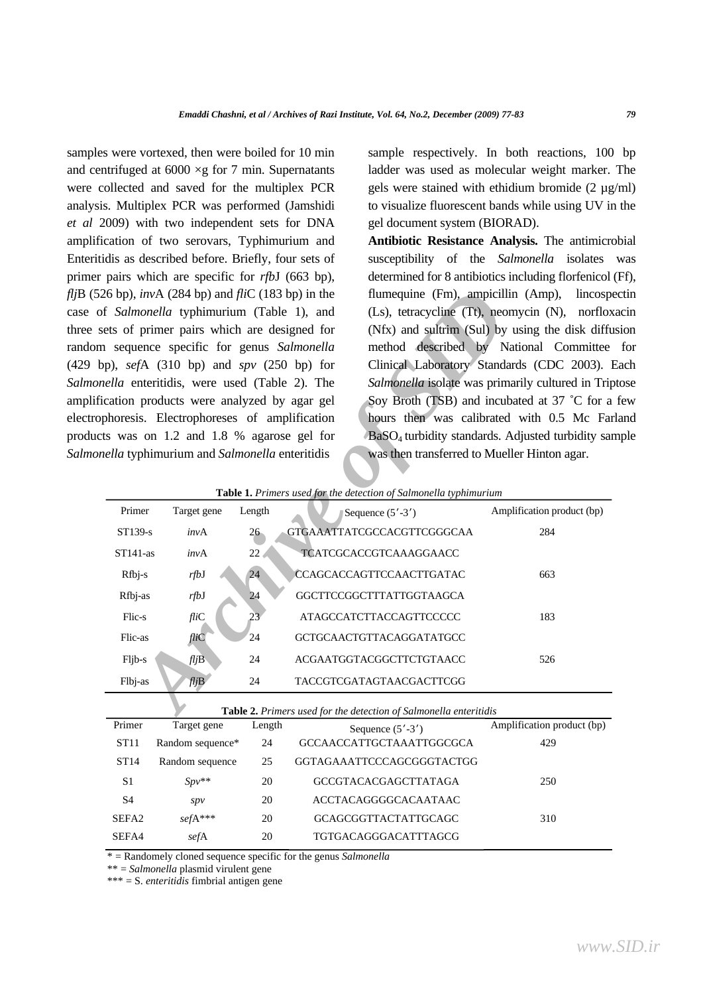samples were vortexed, then were boiled for 10 min and centrifuged at  $6000 \times g$  for 7 min. Supernatants were collected and saved for the multiplex PCR analysis. Multiplex PCR was performed (Jamshidi *et al* 2009) with two independent sets for DNA amplification of two serovars, Typhimurium and Enteritidis as described before. Briefly, four sets of primer pairs which are specific for *rfb*J (663 bp), *flj*B (526 bp), *inv*A (284 bp) and *fli*C (183 bp) in the case of *Salmonella* typhimurium (Table 1), and three sets of primer pairs which are designed for random sequence specific for genus *Salmonella*  (429 bp), *sef*A (310 bp) and *spv* (250 bp) for *Salmonella* enteritidis, were used (Table 2). The amplification products were analyzed by agar gel electrophoresis. Electrophoreses of amplification products was on 1.2 and 1.8 % agarose gel for *Salmonella* typhimurium and *Salmonella* enteritidis

sample respectively. In both reactions, 100 bp ladder was used as molecular weight marker. The gels were stained with ethidium bromide  $(2 \mu g/ml)$ to visualize fluorescent bands while using UV in the gel document system (BIORAD).

**Antibiotic Resistance Analysis.** The antimicrobial susceptibility of the *Salmonella* isolates was determined for 8 antibiotics including florfenicol (Ff), flumequine (Fm), ampicillin (Amp), lincospectin (Ls), tetracycline (Tt), neomycin (N), norfloxacin (Nfx) and sultrim (Sul) by using the disk diffusion method described by National Committee for Clinical Laboratory Standards (CDC 2003). Each *Salmonella* isolate was primarily cultured in Triptose Soy Broth (TSB) and incubated at 37 ˚C for a few hours then was calibrated with 0.5 Mc Farland BaSO4 turbidity standards. Adjusted turbidity sample was then transferred to Mueller Hinton agar.

| Table 1. Primers used for the detection of Salmonella typhimurium |  |  |  |  |  |  |
|-------------------------------------------------------------------|--|--|--|--|--|--|
|-------------------------------------------------------------------|--|--|--|--|--|--|

|                                                                                                                                                                                     | 6 bp), $invA$ (284 bp) and $fliC$ (183 bp) in the<br>Salmonella typhimurium (Table 1), and<br>ts of primer pairs which are designed for<br>sequence specific for genus Salmonella<br>b), sefA $(310$ bp) and spv $(250$ bp) for<br>ella enteritidis, were used (Table 2). The |                 |                             |  | flumequine (Fm), ampicillin (Amp),<br>lincosp<br>(Ls), tetracycline (Tt), neomycin (N),<br>norflox<br>(Nfx) and sultrim (Sul) by using the disk diffu<br>method described by National Committee<br>Clinical Laboratory Standards (CDC 2003). 1<br>Salmonella isolate was primarily cultured in Trip |  |
|-------------------------------------------------------------------------------------------------------------------------------------------------------------------------------------|-------------------------------------------------------------------------------------------------------------------------------------------------------------------------------------------------------------------------------------------------------------------------------|-----------------|-----------------------------|--|-----------------------------------------------------------------------------------------------------------------------------------------------------------------------------------------------------------------------------------------------------------------------------------------------------|--|
|                                                                                                                                                                                     |                                                                                                                                                                                                                                                                               |                 |                             |  |                                                                                                                                                                                                                                                                                                     |  |
| Soy Broth (TSB) and incubated at 37 °C for a<br>cation products were analyzed by agar gel<br>hours then was calibrated with 0.5 Mc Far<br>horesis. Electrophoreses of amplification |                                                                                                                                                                                                                                                                               |                 |                             |  |                                                                                                                                                                                                                                                                                                     |  |
|                                                                                                                                                                                     | s was on 1.2 and 1.8 % agarose gel for                                                                                                                                                                                                                                        |                 |                             |  | BaSO <sub>4</sub> turbidity standards. Adjusted turbidity sai                                                                                                                                                                                                                                       |  |
| ella typhimurium and Salmonella enteritidis<br>was then transferred to Mueller Hinton agar.<br>Table 1. Primers used for the detection of Salmonella typhimurium                    |                                                                                                                                                                                                                                                                               |                 |                             |  |                                                                                                                                                                                                                                                                                                     |  |
| Primer                                                                                                                                                                              | Target gene                                                                                                                                                                                                                                                                   | Length          | Sequence $(5' - 3')$        |  | Amplification product (bp)                                                                                                                                                                                                                                                                          |  |
| ST139-s                                                                                                                                                                             | invA                                                                                                                                                                                                                                                                          | $26 -$          | GTGAAATTATCGCCACGTTCGGGCAA  |  | 284                                                                                                                                                                                                                                                                                                 |  |
| $ST141-as$                                                                                                                                                                          | invA                                                                                                                                                                                                                                                                          | 22              | TCATCGCACCGTCAAAGGAACC      |  |                                                                                                                                                                                                                                                                                                     |  |
| Rfbj-s                                                                                                                                                                              | rfbJ                                                                                                                                                                                                                                                                          | 24              | CCAGCACCAGTTCCAACTTGATAC    |  | 663                                                                                                                                                                                                                                                                                                 |  |
| Rfbj-as                                                                                                                                                                             | rfbJ                                                                                                                                                                                                                                                                          | 24              | GGCTTCCGGCTTTATTGGTAAGCA    |  |                                                                                                                                                                                                                                                                                                     |  |
| Flic-s                                                                                                                                                                              | fliC                                                                                                                                                                                                                                                                          | 23 <sup>2</sup> | ATAGCCATCTTACCAGTTCCCCC     |  | 183                                                                                                                                                                                                                                                                                                 |  |
| Flic-as                                                                                                                                                                             | fliC                                                                                                                                                                                                                                                                          | 24              | GCTGCAACTGTTACAGGATATGCC    |  |                                                                                                                                                                                                                                                                                                     |  |
| Fljb-s                                                                                                                                                                              | $f\rightarrow$                                                                                                                                                                                                                                                                | 24              | ACGAATGGTACGGCTTCTGTAACC    |  | 526                                                                                                                                                                                                                                                                                                 |  |
| Flbj-as                                                                                                                                                                             | fljB                                                                                                                                                                                                                                                                          | 24              | TACCGTCGATAGTAACGACTTCGG    |  |                                                                                                                                                                                                                                                                                                     |  |
| Table 2. Primers used for the detection of Salmonella enteritidis                                                                                                                   |                                                                                                                                                                                                                                                                               |                 |                             |  |                                                                                                                                                                                                                                                                                                     |  |
| Primer                                                                                                                                                                              | Target gene                                                                                                                                                                                                                                                                   | Length          | Sequence $(5' - 3')$        |  | Amplification product (bp)                                                                                                                                                                                                                                                                          |  |
| ST11                                                                                                                                                                                | Random sequence*                                                                                                                                                                                                                                                              | 24              | GCCAACCATTGCTAAATTGGCGCA    |  | 429                                                                                                                                                                                                                                                                                                 |  |
| ST14                                                                                                                                                                                | Random sequence                                                                                                                                                                                                                                                               | 25              | GGTAGAAATTCCCAGCGGGTACTGG   |  |                                                                                                                                                                                                                                                                                                     |  |
| S1                                                                                                                                                                                  | $Spv**$                                                                                                                                                                                                                                                                       | 20              | <b>GCCGTACACGAGCTTATAGA</b> |  | 250                                                                                                                                                                                                                                                                                                 |  |
| $\ensuremath{\mathrm{S}}4$                                                                                                                                                          | spv                                                                                                                                                                                                                                                                           | 20              | ACCTACAGGGGCACAATAAC        |  |                                                                                                                                                                                                                                                                                                     |  |
| SEFA <sub>2</sub>                                                                                                                                                                   | sefA***                                                                                                                                                                                                                                                                       | 20              | GCAGCGGTTACTATTGCAGC        |  | 310                                                                                                                                                                                                                                                                                                 |  |
| SEFA4                                                                                                                                                                               | sefA                                                                                                                                                                                                                                                                          | 20              | TGTGACAGGGACATTTAGCG        |  |                                                                                                                                                                                                                                                                                                     |  |

\* = Randomely cloned sequence specific for the genus *Salmonella* 

\*\* = *Salmonella* plasmid virulent gene

\*\*\* = S. *enteritidis* fimbrial antigen gene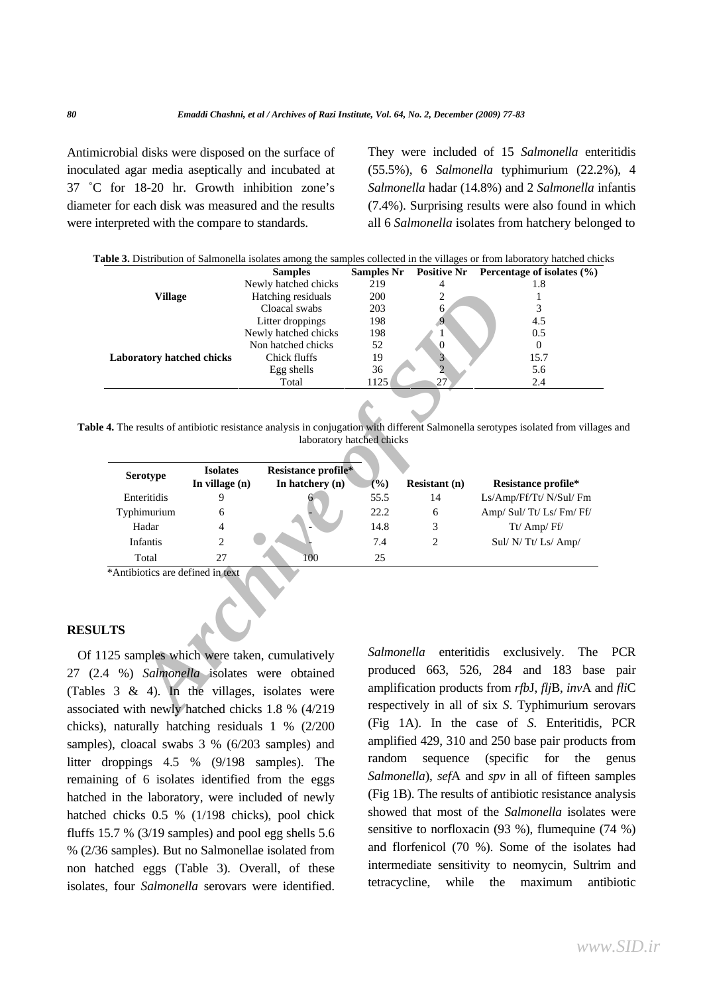Antimicrobial disks were disposed on the surface of inoculated agar media aseptically and incubated at 37 ˚C for 18-20 hr. Growth inhibition zone's diameter for each disk was measured and the results were interpreted with the compare to standards.

They were included of 15 *Salmonella* enteritidis (55.5%), 6 *Salmonella* typhimurium (22.2%), 4 *Salmonella* hadar (14.8%) and 2 *Salmonella* infantis (7.4%). Surprising results were also found in which all 6 *Salmonella* isolates from hatchery belonged to

|                                  | <b>Samples</b>       | <b>Samples Nr</b> |    | Positive Nr Percentage of isolates $(\% )$ |
|----------------------------------|----------------------|-------------------|----|--------------------------------------------|
|                                  | Newly hatched chicks | 219               |    | 1.8                                        |
| Village                          | Hatching residuals   | <b>200</b>        | ∠  |                                            |
|                                  | Cloacal swabs        | 203               |    |                                            |
|                                  | Litter droppings     | 198               |    | 4.5                                        |
| <b>Laboratory hatched chicks</b> | Newly hatched chicks | 198               |    | 0.5                                        |
|                                  | Non hatched chicks   | 52                |    | $_{0}$                                     |
|                                  | Chick fluffs         | 19                |    | 15.7                                       |
|                                  | Egg shells           | 36                |    | 5.6                                        |
|                                  | Total                | 1125              | 27 | 2.4                                        |

**Table 4.** The results of antibiotic resistance analysis in conjugation with different Salmonella serotypes isolated from villages and laboratory hatched chicks

| <b>Village</b>                                |                                            | Hatching residuals                        | 2<br>200<br>1 |                                                |                                                                                                                         |  |  |  |
|-----------------------------------------------|--------------------------------------------|-------------------------------------------|---------------|------------------------------------------------|-------------------------------------------------------------------------------------------------------------------------|--|--|--|
|                                               |                                            | Cloacal swabs                             | 203           | 6.                                             | 3                                                                                                                       |  |  |  |
|                                               |                                            | Litter droppings                          | 198           | $\overline{9}$                                 | 4.5                                                                                                                     |  |  |  |
|                                               |                                            | Newly hatched chicks                      | 198           | 1                                              | 0.5                                                                                                                     |  |  |  |
| Non hatched chicks                            |                                            |                                           | 52            | $\overline{0}$                                 | $\Omega$                                                                                                                |  |  |  |
| Laboratory hatched chicks                     |                                            | Chick fluffs                              | 19            | 3                                              | 15.7                                                                                                                    |  |  |  |
|                                               |                                            | Egg shells                                | 36            | $\overline{2}$                                 | 5.6                                                                                                                     |  |  |  |
|                                               |                                            | Total                                     | 1125          | 27                                             | 2.4                                                                                                                     |  |  |  |
|                                               |                                            | laboratory hatched chicks                 |               |                                                | 4. The results of antibiotic resistance analysis in conjugation with different Salmonella serotypes isolated from villa |  |  |  |
|                                               |                                            |                                           |               |                                                |                                                                                                                         |  |  |  |
|                                               | <b>Isolates</b>                            | Resistance profile*                       |               |                                                |                                                                                                                         |  |  |  |
| Serotype                                      | In village $(n)$                           | In hatchery $(n)$                         | (%)           | <b>Resistant</b> (n)                           | Resistance profile*                                                                                                     |  |  |  |
| Enteritidis                                   | 9                                          |                                           | 55.5          | 14                                             | Ls/Amp/Ff/Tt/ N/Sul/ Fm                                                                                                 |  |  |  |
| Typhimurium                                   | 6                                          |                                           | 22.2          | 6                                              | Amp/ Sul/ Tt/ Ls/ Fm/ Ff/                                                                                               |  |  |  |
| Hadar                                         | 4                                          |                                           | 14.8          | 3                                              | Tt/ Amp/Ff/                                                                                                             |  |  |  |
| <b>Infantis</b>                               | $\overline{2}$                             |                                           | 7.4           | 2                                              | Sul/ N/ Tt/ Ls/ Amp/                                                                                                    |  |  |  |
| Total                                         | 27                                         | 100                                       | 25            |                                                |                                                                                                                         |  |  |  |
| *Antibiotics are defined in text<br><b>TS</b> |                                            |                                           |               |                                                |                                                                                                                         |  |  |  |
|                                               |                                            | 25 samples which were taken, cumulatively | Salmonella    | enteritidis                                    | exclusively.<br>The                                                                                                     |  |  |  |
| 1 %) Salmonella isolates were obtained        |                                            |                                           |               | produced 663, 526, 284 and 183 bas             |                                                                                                                         |  |  |  |
|                                               |                                            |                                           |               | amplification products from rfbJ, fljB, invA a |                                                                                                                         |  |  |  |
|                                               | 3 & 4). In the villages, isolates were     |                                           |               |                                                |                                                                                                                         |  |  |  |
|                                               | ed with newly hatched chicks 1.8 % (4/219) |                                           |               | respectively in all of six S. Typhimurium s    |                                                                                                                         |  |  |  |
|                                               |                                            |                                           |               |                                                |                                                                                                                         |  |  |  |

## **RESULTS**

Of 1125 samples which were taken, cumulatively 27 (2.4 %) *Salmonella* isolates were obtained (Tables 3 & 4). In the villages, isolates were associated with newly hatched chicks 1.8 % (4/219 chicks), naturally hatching residuals 1 % (2/200 samples), cloacal swabs 3 % (6/203 samples) and litter droppings 4.5 % (9/198 samples). The remaining of 6 isolates identified from the eggs hatched in the laboratory, were included of newly hatched chicks 0.5 % (1/198 chicks), pool chick fluffs 15.7 % (3/19 samples) and pool egg shells 5.6 % (2/36 samples). But no Salmonellae isolated from non hatched eggs (Table 3). Overall, of these isolates, four *Salmonella* serovars were identified. *Salmonella* enteritidis exclusively. The PCR produced 663, 526, 284 and 183 base pair amplification products from *rfb*J, *flj*B, *inv*A and *fli*C respectively in all of six *S*. Typhimurium serovars (Fig 1A). In the case of *S*. Enteritidis, PCR amplified 429, 310 and 250 base pair products from random sequence (specific for the genus *Salmonella*), *sef*A and *spv* in all of fifteen samples (Fig 1B). The results of antibiotic resistance analysis showed that most of the *Salmonella* isolates were sensitive to norfloxacin (93 %), flumequine (74 %) and florfenicol (70 %). Some of the isolates had intermediate sensitivity to neomycin, Sultrim and tetracycline, while the maximum antibiotic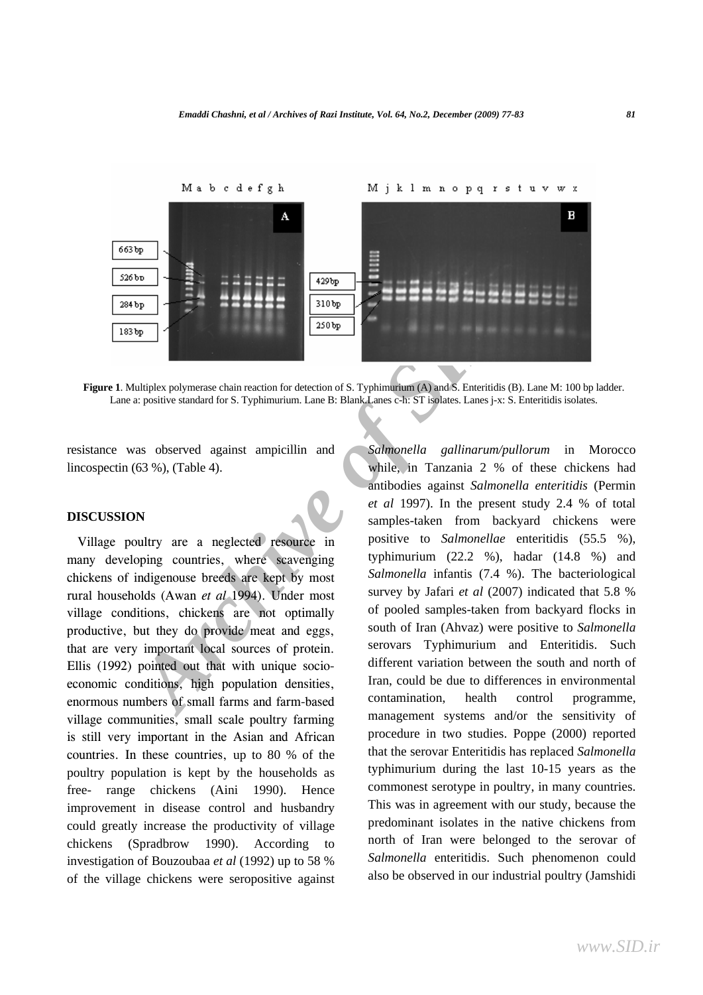

**Figure 1**. Multiplex polymerase chain reaction for detection of S. Typhimurium (A) and S. Enteritidis (B). Lane M: 100 bp ladder. Lane a: positive standard for S. Typhimurium. Lane B: Blank.Lanes c-h: ST isolates. Lanes j-x: S. Enteritidis isolates.

resistance was observed against ampicillin and lincospectin (63 %), (Table 4).

## **DISCUSSION**

Village poultry are a neglected resource in many developing countries, where scavenging chickens of indigenouse breeds are kept by most rural households (Awan *et al* 1994). Under most village conditions, chickens are not optimally productive, but they do provide meat and eggs, that are very important local sources of protein. Ellis (1992) pointed out that with unique socioeconomic conditions, high population densities, enormous numbers of small farms and farm-based village communities, small scale poultry farming is still very important in the Asian and African countries. In these countries, up to 80 % of the poultry population is kept by the households as free- range chickens (Aini 1990). Hence improvement in disease control and husbandry could greatly increase the productivity of village chickens (Spradbrow 1990). According to investigation of Bouzoubaa *et al* (1992) up to 58 % of the village chickens were seropositive against

**Example 18 and 1997**<br> **Archive of SIDP 18 and 18 and 18 and 18 and 18 and 18 and 18 and 18 and 18 and 18 and 18 and 18 and 18 and 18 and 18 and 18 and 18 and 18 and 18 and 18 and 18 and 18 and 18 and 18 and 18 and 18 and** *Salmonella gallinarum/pullorum* in Morocco while, in Tanzania 2 % of these chickens had antibodies against *Salmonella enteritidis* (Permin *et al* 1997). In the present study 2.4 % of total samples-taken from backyard chickens were positive to *Salmonellae* enteritidis (55.5 %), typhimurium  $(22.2 \, %)$ , hadar  $(14.8 \, %)$  and *Salmonella* infantis (7.4 %). The bacteriological survey by Jafari *et al* (2007) indicated that 5.8 % of pooled samples-taken from backyard flocks in south of Iran (Ahvaz) were positive to *Salmonella* serovars Typhimurium and Enteritidis. Such different variation between the south and north of Iran, could be due to differences in environmental contamination, health control programme, management systems and/or the sensitivity of procedure in two studies. Poppe (2000) reported that the serovar Enteritidis has replaced *Salmonella* typhimurium during the last 10-15 years as the commonest serotype in poultry, in many countries. This was in agreement with our study, because the predominant isolates in the native chickens from north of Iran were belonged to the serovar of *Salmonella* enteritidis. Such phenomenon could also be observed in our industrial poultry (Jamshidi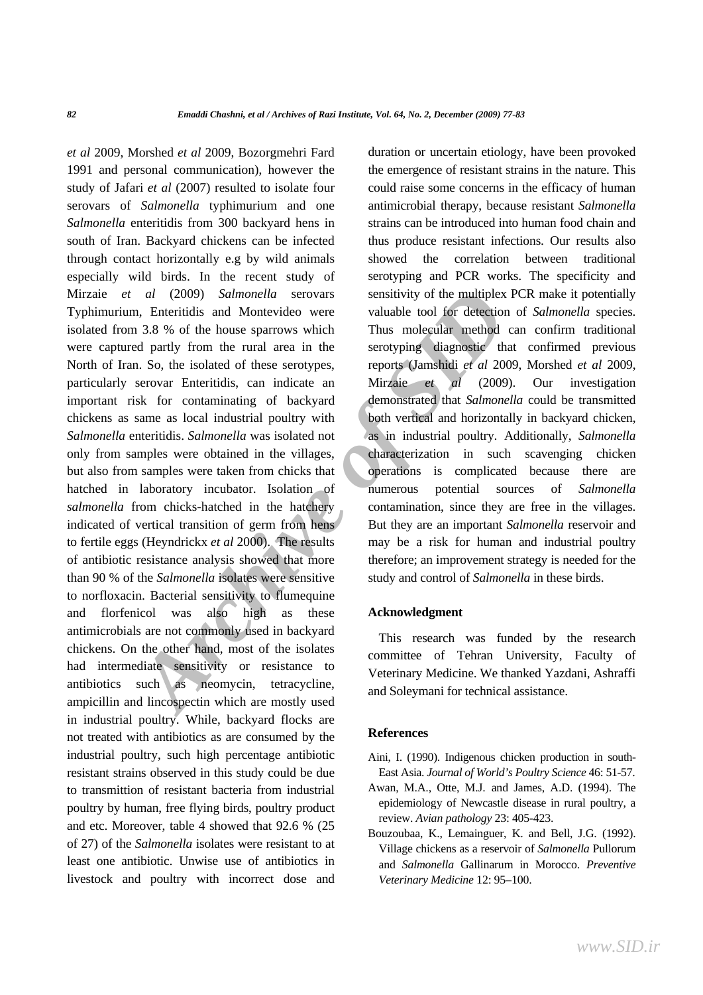*Al* (2009) *Salmonella* serovars sensitivity of the multiplex PCI<br> **Archive of Montevideo were** valuable tool for detection of<br> **A.** B. S. 8. 8 of the house sparrows which Thus molecular method can<br> **A.** S. 8. A. A. S. A. *et al* 2009, Morshed *et al* 2009, Bozorgmehri Fard 1991 and personal communication), however the study of Jafari *et al* (2007) resulted to isolate four serovars of *Salmonella* typhimurium and one *Salmonella* enteritidis from 300 backyard hens in south of Iran. Backyard chickens can be infected through contact horizontally e.g by wild animals especially wild birds. In the recent study of Mirzaie *et al* (2009) *Salmonella* serovars Typhimurium, Enteritidis and Montevideo were isolated from 3.8 % of the house sparrows which were captured partly from the rural area in the North of Iran. So, the isolated of these serotypes, particularly serovar Enteritidis, can indicate an important risk for contaminating of backyard chickens as same as local industrial poultry with *Salmonella* enteritidis. *Salmonella* was isolated not only from samples were obtained in the villages, but also from samples were taken from chicks that hatched in laboratory incubator. Isolation of *salmonella* from chicks-hatched in the hatchery indicated of vertical transition of germ from hens to fertile eggs (Heyndrickx *et al* 2000). The results of antibiotic resistance analysis showed that more than 90 % of the *Salmonella* isolates were sensitive to norfloxacin. Bacterial sensitivity to flumequine and florfenicol was also high as these antimicrobials are not commonly used in backyard chickens. On the other hand, most of the isolates had intermediate sensitivity or resistance to antibiotics such as neomycin, tetracycline, ampicillin and lincospectin which are mostly used in industrial poultry. While, backyard flocks are not treated with antibiotics as are consumed by the industrial poultry, such high percentage antibiotic resistant strains observed in this study could be due to transmittion of resistant bacteria from industrial poultry by human, free flying birds, poultry product and etc. Moreover, table 4 showed that 92.6 % (25 of 27) of the *Salmonella* isolates were resistant to at least one antibiotic. Unwise use of antibiotics in livestock and poultry with incorrect dose and

duration or uncertain etiology, have been provoked the emergence of resistant strains in the nature. This could raise some concerns in the efficacy of human antimicrobial therapy, because resistant *Salmonella* strains can be introduced into human food chain and thus produce resistant infections. Our results also showed the correlation between traditional serotyping and PCR works. The specificity and sensitivity of the multiplex PCR make it potentially valuable tool for detection of *Salmonella* species. Thus molecular method can confirm traditional serotyping diagnostic that confirmed previous reports (Jamshidi *et al* 2009, Morshed *et al* 2009, Mirzaie *et al* (2009). Our investigation demonstrated that *Salmonella* could be transmitted both vertical and horizontally in backyard chicken, as in industrial poultry. Additionally, *Salmonella* characterization in such scavenging chicken operations is complicated because there are numerous potential sources of *Salmonella* contamination, since they are free in the villages. But they are an important *Salmonella* reservoir and may be a risk for human and industrial poultry therefore; an improvement strategy is needed for the study and control of *Salmonella* in these birds.

### **Acknowledgment**

This research was funded by the research committee of Tehran University, Faculty of Veterinary Medicine. We thanked Yazdani, Ashraffi and Soleymani for technical assistance.

### **References**

- Aini, I. (1990). Indigenous chicken production in south-East Asia. *Journal of World's Poultry Science* 46: 51-57.
- Awan, M.A., Otte, M.J. and James, A.D. (1994). The epidemiology of Newcastle disease in rural poultry, a review. *Avian pathology* 23: 405-423.
- Bouzoubaa, K., Lemainguer, K. and Bell, J.G. (1992). Village chickens as a reservoir of *Salmonella* Pullorum and *Salmonella* Gallinarum in Morocco. *Preventive Veterinary Medicine* 12: 95–100.